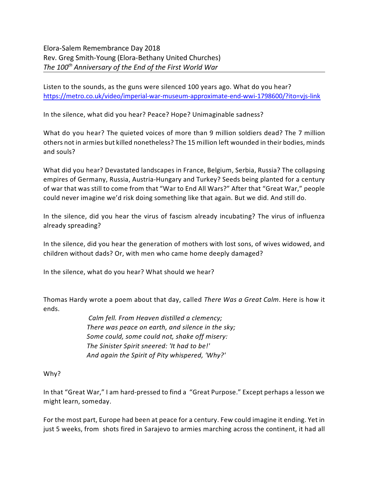Elora-Salem Remembrance Day 2018 Rev. Greg Smith-Young (Elora-Bethany United Churches) *The 100 th Anniversary of the End of the First World War*

Listen to the sounds, as the guns were silenced 100 years ago. What do you hear? <https://metro.co.uk/video/imperial-war-museum-approximate-end-wwi-1798600/?ito=vjs-link>

In the silence, what did you hear? Peace? Hope? Unimaginable sadness?

What do you hear? The quieted voices of more than 9 million soldiers dead? The 7 million others not in armies but killed nonetheless? The 15 million left wounded in their bodies, minds and souls?

What did you hear? Devastated landscapes in France, Belgium, Serbia, Russia? The collapsing empires of Germany, Russia, Austria-Hungary and Turkey? Seeds being planted for a century of war that was still to come from that "War to End All Wars?" After that "Great War," people could never imagine we'd risk doing something like that again. But we did. And still do.

In the silence, did you hear the virus of fascism already incubating? The virus of influenza already spreading?

In the silence, did you hear the generation of mothers with lost sons, of wives widowed, and children without dads? Or, with men who came home deeply damaged?

In the silence, what do you hear? What should we hear?

Thomas Hardy wrote a poem about that day, called *There Was a Great Calm*. Here is how it ends.

> *Calm fell. From Heaven distilled a clemency; There was peace on earth, and silence in the sky; Some could, some could not, shake off misery: The Sinister Spirit sneered: 'It had to be!' And again the Spirit of Pity whispered, 'Why?'*

## Why?

In that "Great War," I am hard-pressed to find a "Great Purpose." Except perhaps a lesson we might learn, someday.

For the most part, Europe had been at peace for a century. Few could imagine it ending. Yet in just 5 weeks, from shots fired in Sarajevo to armies marching across the continent, it had all